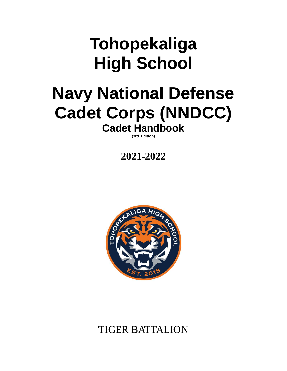# **Tohopekaliga High School**

## **Navy National Defense Cadet Corps (NNDCC) Cadet Handbook**

**(3rd Edition)**

## **2021-2022**



## TIGER BATTALION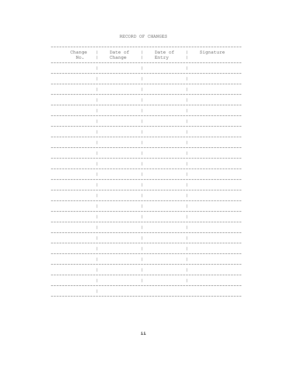#### RECORD OF CHANGES

| $\mathbb{N}\circ$ . | Change   Date of<br>Change<br>$\mathbf{I}$ | Date of<br>Entry<br>$\mathbf{I}$ | Signature<br>$\sim 1$ |
|---------------------|--------------------------------------------|----------------------------------|-----------------------|
|                     |                                            |                                  | T                     |
|                     |                                            |                                  |                       |
|                     |                                            |                                  |                       |
|                     |                                            |                                  |                       |
|                     |                                            |                                  |                       |
|                     |                                            |                                  |                       |
|                     |                                            |                                  |                       |
|                     |                                            |                                  |                       |
|                     |                                            |                                  | Ш                     |
|                     |                                            |                                  | T                     |
|                     |                                            |                                  |                       |
|                     |                                            |                                  |                       |
|                     |                                            |                                  |                       |
|                     |                                            |                                  |                       |
|                     |                                            |                                  |                       |
|                     |                                            |                                  |                       |
|                     |                                            |                                  |                       |
|                     |                                            |                                  |                       |
|                     |                                            |                                  |                       |
|                     |                                            |                                  | T                     |
|                     | $\mathbf{I}$                               |                                  | $\overline{1}$        |
|                     |                                            |                                  |                       |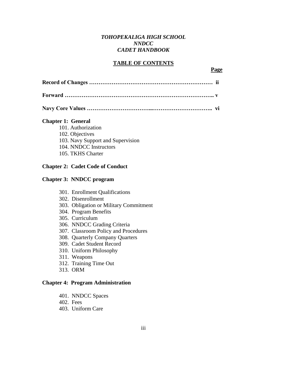#### *TOHOPEKALIGA HIGH SCHOOL NNDCC CADET HANDBOOK*

#### **TABLE OF CONTENTS**

#### **Page**

#### **Chapter 1: General**

- 101. Authorization
- 102. Objectives
- 103. Navy Support and Supervision
- 104. NNDCC Instructors
- 105. TKHS Charter

#### **Chapter 2: Cadet Code of Conduct**

#### **Chapter 3: NNDCC program**

- 301. Enrollment Qualifications
- 302. Disenrollment
- 303. Obligation or Military Commitment
- 304. Program Benefits
- 305. Curriculum
- 306. NNDCC Grading Criteria
- 307. Classroom Policy and Procedures
- 308. Quarterly Company Quarters
- 309. Cadet Student Record
- 310. Uniform Philosophy
- 311. Weapons
- 312. Training Time Out
- 313. ORM

#### **Chapter 4: Program Administration**

- 401. NNDCC Spaces
- 402. Fees
- 403. Uniform Care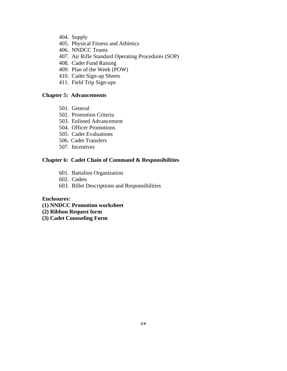- 404. Supply
- 405. Physical Fitness and Athletics
- 406. NNDCC Teams
- 407. Air Rifle Standard Operating Procedures (SOP)
- 408. Cadet Fund Raising
- 409. Plan of the Week (POW)
- 410. Cadet Sign-up Sheets
- 411. Field Trip Sign-ups

#### **Chapter 5: Advancements**

- 501. General
- 502. Promotion Criteria
- 503. Enlisted Advancement
- 504. Officer Promotions
- 505. Cadet Evaluations
- 506. Cadet Transfers
- 507. Incentives

#### **Chapter 6: Cadet Chain of Command & Responsibilities**

- 601. Battalion Organization
- 602. Cadets
- 603. Billet Descriptions and Responsibilities

#### **Enclosures:**

- **(1) NNDCC Promotion worksheet**
- **(2) Ribbon Request form**
- **(3) Cadet Counseling Form**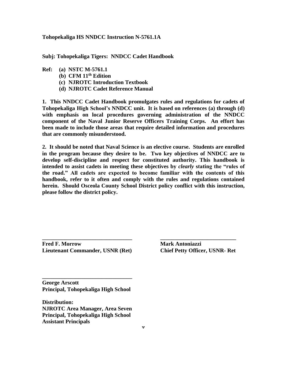#### **Tohopekaliga HS NNDCC Instruction N-5761.1A**

**Subj: Tohopekaliga Tigers: NNDCC Cadet Handbook**

- **Ref: (a) NSTC M-5761.1**
	- **(b) CFM 11th Edition**
	- **(c) NJROTC Introduction Textbook**
	- **(d) NJROTC Cadet Reference Manual**

**1. This NNDCC Cadet Handbook promulgates rules and regulations for cadets of Tohopekaliga High School's NNDCC unit. It is based on references (a) through (d) with emphasis on local procedures governing administration of the NNDCC component of the Naval Junior Reserve Officers Training Corps. An effort has been made to include those areas that require detailed information and procedures that are commonly misunderstood.**

**2. It should be noted that Naval Science is an elective course. Students are enrolled in the program because they desire to be. Two key objectives of NNDCC are to develop self-discipline and respect for constituted authority. This handbook is intended to assist cadets in meeting these objectives by** *clearly* **stating the "rules of the road." All cadets are expected to become familiar with the contents of this handbook, refer to it often and comply with the rules and regulations contained herein. Should Osceola County School District policy conflict with this instruction, please follow the district policy.**

**\_\_\_\_\_\_\_\_\_\_\_\_\_\_\_\_\_\_\_\_\_\_\_\_\_\_\_\_\_\_\_\_ \_\_\_\_\_\_\_\_\_\_\_\_\_\_\_\_\_\_\_\_\_\_\_\_\_\_\_**

**Fred F. Morrow Mark Antoniazzi Lieutenant Commander, USNR (Ret) Chief Petty Officer, USNR- Ret** 

**George Arscott Principal, Tohopekaliga High School**

**\_\_\_\_\_\_\_\_\_\_\_\_\_\_\_\_\_\_\_\_\_\_\_\_\_\_\_\_\_\_\_\_**

**Distribution: NJROTC Area Manager, Area Seven Principal, Tohopekaliga High School Assistant Principals**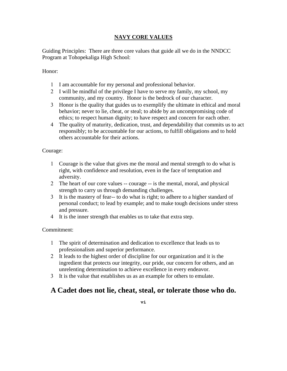#### **NAVY CORE VALUES**

Guiding Principles: There are three core values that guide all we do in the NNDCC Program at Tohopekaliga High School:

Honor:

- I am accountable for my personal and professional behavior.
- I will be mindful of the privilege I have to serve my family, my school, my community, and my country. Honor is the bedrock of our character.
- Honor is the quality that guides us to exemplify the ultimate in ethical and moral behavior; never to lie, cheat, or steal; to abide by an uncompromising code of ethics; to respect human dignity; to have respect and concern for each other.
- The quality of maturity, dedication, trust, and dependability that commits us to act responsibly; to be accountable for our actions, to fulfill obligations and to hold others accountable for their actions.

Courage:

- Courage is the value that gives me the moral and mental strength to do what is right, with confidence and resolution, even in the face of temptation and adversity.
- The heart of our core values -- courage -- is the mental, moral, and physical strength to carry us through demanding challenges.
- It is the mastery of fear-- to do what is right; to adhere to a higher standard of personal conduct; to lead by example; and to make tough decisions under stress and pressure.
- It is the inner strength that enables us to take that extra step.

Commitment:

- The spirit of determination and dedication to excellence that leads us to professionalism and superior performance.
- It leads to the highest order of discipline for our organization and it is the ingredient that protects our integrity, our pride, our concern for others, and an unrelenting determination to achieve excellence in every endeavor.
- It is the value that establishes us as an example for others to emulate.

#### **A Cadet does not lie, cheat, steal, or tolerate those who do.**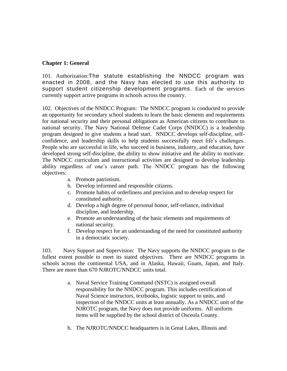#### **Chapter 1: General**

101. Authorization:The statute establishing the NNDCC program was enacted in 2008, and the Navy has elected to use this authority to support student citizenship development programs. Each of the services currently support active programs in schools across the country.

102. Objectives of the NNDCC Program: The NNDCC program is conducted to provide an opportunity for secondary school students to learn the basic elements and requirements for national security and their personal obligations as American citizens to contribute to national security. The Navy National Defense Cadet Corps (NNDCC) is a leadership program designed to give students a head start. NNDCC develops self-discipline, selfconfidence, and leadership skills to help students successfully meet life's challenges. People who are successful in life, who succeed in business, industry, and education, have developed strong self-discipline, the ability to show initiative and the ability to motivate. The NNDCC curriculum and instructional activities are designed to develop leadership ability regardless of one's career path. The NNDCC program has the following objectives:

- a. Promote patriotism.
- b. Develop informed and responsible citizens.
- c. Promote habits of orderliness and precision and to develop respect for constituted authority.
- d. Develop a high degree of personal honor, self-reliance, individual discipline, and leadership.
- e. Promote an understanding of the basic elements and requirements of national security.
- f. Develop respect for an understanding of the need for constituted authority in a democratic society.

103. Navy Support and Supervision: The Navy supports the NNDCC program to the fullest extent possible to meet its stated objectives. There are NNDCC programs in schools across the continental USA, and in Alaska, Hawaii, Guam, Japan, and Italy. There are more than 670 NJROTC/NNDCC units total.

- a. Naval Service Training Command (NSTC) is assigned overall responsibility for the NNDCC program. This includes certification of Naval Science instructors, textbooks, logistic support to units, and inspection of the NNDCC units at least annually. As a NNDCC unit of the NJROTC program, the Navy does not provide uniforms. All uniform items will be supplied by the school district of Osceola County.
- b. The NJROTC/NNDCC headquarters is in Great Lakes, Illinois and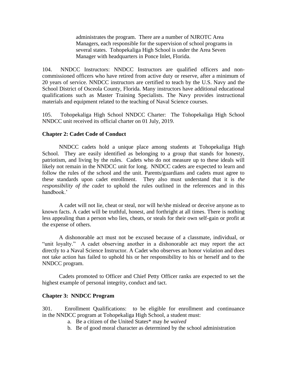administrates the program. There are a number of NJROTC Area Managers, each responsible for the supervision of school programs in several states. Tohopekaliga High School is under the Area Seven Manager with headquarters in Ponce Inlet, Florida.

104. NNDCC Instructors: NNDCC Instructors are qualified officers and noncommissioned officers who have retired from active duty or reserve, after a minimum of 20 years of service. NNDCC instructors are certified to teach by the U.S. Navy and the School District of Osceola County, Florida. Many instructors have additional educational qualifications such as Master Training Specialists. The Navy provides instructional materials and equipment related to the teaching of Naval Science courses.

105. Tohopekaliga High School NNDCC Charter: The Tohopekaliga High School NNDCC unit received its official charter on 01 July, 2019.

#### **Chapter 2: Cadet Code of Conduct**

NNDCC cadets hold a unique place among students at Tohopekaliga High School. They are easily identified as belonging to a group that stands for honesty, patriotism, and living by the rules. Cadets who do not measure up to these ideals will likely not remain in the NNDCC unit for long. NNDCC cadets are expected to learn and follow the rules of the school and the unit. Parents/guardians and cadets must agree to these standards upon cadet enrollment. They also must understand that it is *the responsibility of the cadet* to uphold the rules outlined in the references and in this handbook.'

A cadet will not lie, cheat or steal, nor will he/she mislead or deceive anyone as to known facts. A cadet will be truthful, honest, and forthright at all times. There is nothing less appealing than a person who lies, cheats, or steals for their own self-gain or profit at the expense of others.

A dishonorable act must not be excused because of a classmate, individual, or "unit loyalty." A cadet observing another in a dishonorable act may report the act directly to a Naval Science Instructor. A Cadet who observes an honor violation and does not take action has failed to uphold his or her responsibility to his or herself and to the NNDCC program.

Cadets promoted to Officer and Chief Petty Officer ranks are expected to set the highest example of personal integrity, conduct and tact.

#### **Chapter 3: NNDCC Program**

301. Enrollment Qualifications: to be eligible for enrollment and continuance in the NNDCC program at Tohopekaliga High School, a student must:

- a. Be a citizen of the United States\* may *be waived*
- b. Be of good moral character as determined by the school administration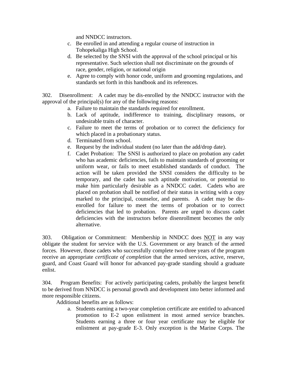and NNDCC instructors.

- c. Be enrolled in and attending a regular course of instruction in Tohopekaliga High School.
- d. Be selected by the SNSI with the approval of the school principal or his representative. Such selection shall not discriminate on the grounds of race, gender, religion, or national origin
- e. Agree to comply with honor code, uniform and grooming regulations, and standards set forth in this handbook and its references.

302. Disenrollment: A cadet may be dis-enrolled by the NNDCC instructor with the approval of the principal(s) for any of the following reasons:

- a. Failure to maintain the standards required for enrollment.
- b. Lack of aptitude, indifference to training, disciplinary reasons, or undesirable traits of character.
- c. Failure to meet the terms of probation or to correct the deficiency for which placed in a probationary status.
- d. Terminated from school.
- e. Request by the individual student (no later than the add/drop date).
- f. Cadet Probation: The SNSI is authorized to place on probation any cadet who has academic deficiencies, fails to maintain standards of grooming or uniform wear, or fails to meet established standards of conduct. The action will be taken provided the SNSI considers the difficulty to be temporary, and the cadet has such aptitude motivation, or potential to make him particularly desirable as a NNDCC cadet. Cadets who are placed on probation shall be notified of their status in writing with a copy marked to the principal, counselor, and parents. A cadet may be disenrolled for failure to meet the terms of probation or to correct deficiencies that led to probation. Parents are urged to discuss cadet deficiencies with the instructors before disenrollment becomes the only alternative.

303. Obligation or Commitment: Membership in NNDCC does NOT in any way obligate the student for service with the U.S. Government or any branch of the armed forces. However, those cadets who successfully complete two-three years of the program receive an appropriate *certificate of completion* that the armed services, active, reserve, guard, and Coast Guard will honor for advanced pay-grade standing should a graduate enlist.

304. Program Benefits: For actively participating cadets, probably the largest benefit to be derived from NNDCC is personal growth and development into better informed and more responsible citizens.

Additional benefits are as follows:

a. Students earning a two-year completion certificate are entitled to advanced promotion to E-2 upon enlistment in most armed service branches. Students earning a three or four year certificate may be eligible for enlistment at pay-grade E-3. Only exception is the Marine Corps. The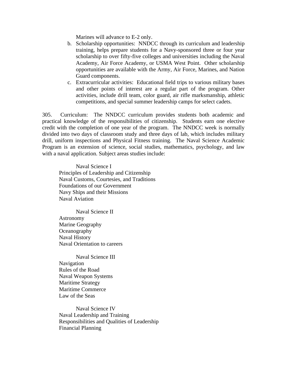Marines will advance to E-2 only.

- b. Scholarship opportunities: NNDCC through its curriculum and leadership training, helps prepare students for a Navy-sponsored three or four year scholarship to over fifty-five colleges and universities including the Naval Academy, Air Force Academy, or USMA West Point. Other scholarship opportunities are available with the Army, Air Force, Marines, and Nation Guard components.
- c. Extracurricular activities: Educational field trips to various military bases and other points of interest are a regular part of the program. Other activities, include drill team, color guard, air rifle marksmanship, athletic competitions, and special summer leadership camps for select cadets.

305. Curriculum: The NNDCC curriculum provides students both academic and practical knowledge of the responsibilities of citizenship. Students earn one elective credit with the completion of one year of the program. The NNDCC week is normally divided into two days of classroom study and three days of lab, which includes military drill, uniform inspections and Physical Fitness training. The Naval Science Academic Program is an extension of science, social studies, mathematics, psychology, and law with a naval application. Subject areas studies include:

Naval Science I Principles of Leadership and Citizenship Naval Customs, Courtesies, and Traditions Foundations of our Government Navy Ships and their Missions Naval Aviation

Naval Science II Astronomy Marine Geography **Oceanography** Naval History Naval Orientation to careers

Naval Science III Navigation Rules of the Road Naval Weapon Systems Maritime Strategy Maritime Commerce Law of the Seas

Naval Science IV Naval Leadership and Training Responsibilities and Qualities of Leadership Financial Planning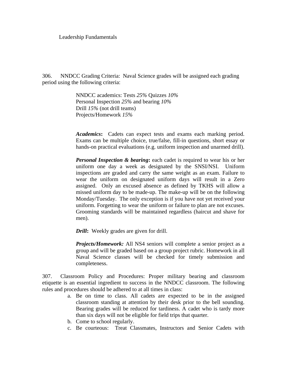Leadership Fundamentals

306. NNDCC Grading Criteria: Naval Science grades will be assigned each grading period using the following criteria:

> NNDCC academics: Tests *25%* Quizzes *10%* Personal Inspection *25%* and bearing *10%* Drill *15%* (not drill teams) Projects/Homework *15%*

*Academics***:** Cadets can expect tests and exams each marking period. Exams can be multiple choice, true/false, fill-in questions, short essay or hands-on practical evaluations (e.g. uniform inspection and unarmed drill).

*Personal Inspection & bearing***:** each cadet is required to wear his or her uniform one day a week as designated by the SNSI/NSI. Uniform inspections are graded and carry the same weight as an exam. Failure to wear the uniform on designated uniform days will result in a Zero assigned. Only an excused absence as defined by TKHS will allow a missed uniform day to be made-up. The make-up will be on the following Monday/Tuesday. The only exception is if you have not yet received your uniform. Forgetting to wear the uniform or failure to plan are not excuses. Grooming standards will be maintained regardless (haircut and shave for men).

*Drill***:** Weekly grades are given for drill.

*Projects/Homework:* All NS4 seniors will complete a senior project as a group and will be graded based on a group project rubric. Homework in all Naval Science classes will be checked for timely submission and completeness.

307. Classroom Policy and Procedures: Proper military bearing and classroom etiquette is an essential ingredient to success in the NNDCC classroom. The following rules and procedures should be adhered to at all times in class:

- a. Be on time to class. All cadets are expected to be in the assigned classroom standing at attention by their desk prior to the bell sounding. Bearing grades will be reduced for tardiness. A cadet who is tardy more than six days will not be eligible for field trips that quarter.
- b. Come to school regularly.
- c. Be courteous: Treat Classmates, Instructors and Senior Cadets with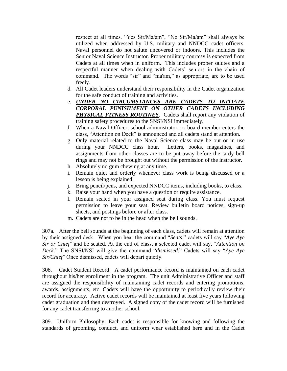respect at all times. "Yes Sir/Ma/am", "No Sir/Ma/am" shall always be utilized when addressed by U.S. military and NNDCC cadet officers. Naval personnel do not salute uncovered or indoors. This includes the Senior Naval Science Instructor. Proper military courtesy is expected from Cadets at all times when in uniform. This includes proper salutes and a respectful manner when dealing with Cadets' seniors in the chain of command. The words "sir" and "ma'am," as appropriate, are to be used freely.

- d. All Cadet leaders understand their responsibility in the Cadet organization for the safe conduct of training and activities.
- e. *UNDER NO CIRCUMSTANCES ARE CADETS TO INITIATE CORPORAL PUNISHMENT ON OTHER CADETS INCLUDING PHYSICAL FITNESS ROUTINES.* Cadets shall report any violation of training safety procedures to the SNSI/NSI immediately.
- f. When a Naval Officer, school administrator, or board member enters the class, "Attention on Deck" is announced and all cadets stand at attention.
- g. Only material related to the Naval Science class may be out or in use during your NNDCC class hour. Letters, books, magazines, and assignments from other classes are to be put away before the tardy bell rings and may not be brought out without the permission of the instructor.
- h. Absolutely no gum chewing at any time.
- i. Remain quiet and orderly whenever class work is being discussed or a lesson is being explained.
- j. Bring pencil/pens, and expected NNDCC items, including books, to class.
- k. Raise your hand when you have a question or require assistance.
- l. Remain seated in your assigned seat during class. You must request permission to leave your seat. Review bulletin board notices, sign-up sheets, and postings before or after class.
- m. Cadets are not to be in the head when the bell sounds.

307a. After the bell sounds at the beginning of each class, cadets will remain at attention by their assigned desk. When you hear the command "*Seats*," cadets will say "*Aye Aye Sir or Chief*" and be seated. At the end of class, a selected cadet will say, "*Attention on Deck*." The SNSI/NSI will give the command "*dismissed*." Cadets will say "*Aye Aye Sir/Chief*" Once dismissed, cadets will depart quietly.

308. Cadet Student Record: A cadet performance record is maintained on each cadet throughout his/her enrollment in the program. The unit Administrative Officer and staff are assigned the responsibility of maintaining cadet records and entering promotions, awards, assignments, etc. Cadets will have the opportunity to periodically review their record for accuracy. Active cadet records will be maintained at least five years following cadet graduation and then destroyed. A signed copy of the cadet record will be furnished for any cadet transferring to another school.

309. Uniform Philosophy: Each cadet is responsible for knowing and following the standards of grooming, conduct, and uniform wear established here and in the Cadet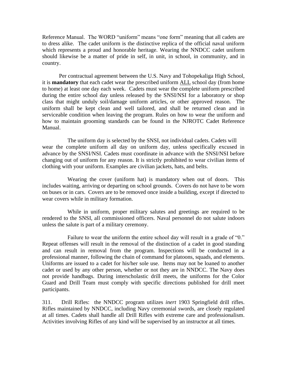Reference Manual. The WORD "uniform" means "one form" meaning that all cadets are to dress alike. The cadet uniform is the distinctive replica of the official naval uniform which represents a proud and honorable heritage. Wearing the NNDCC cadet uniform should likewise be a matter of pride in self, in unit, in school, in community, and in country.

Per contractual agreement between the U.S. Navy and Tohopekaliga High School, it is **mandatory** that each cadet wear the prescribed uniform ALL school day (from home to home) at least one day each week. Cadets must wear the complete uniform prescribed during the entire school day unless released by the SNSI/NSI for a laboratory or shop class that might unduly soil/damage uniform articles, or other approved reason. The uniform shall be kept clean and well tailored, and shall be returned clean and in serviceable condition when leaving the program. Rules on how to wear the uniform and how to maintain grooming standards can be found in the NJROTC Cadet Reference Manual.

The uniform day is selected by the SNSI, not individual cadets. Cadets will wear the complete uniform all day on uniform day, unless specifically excused in advance by the SNSI/NSI. Cadets must coordinate in advance with the SNSI/NSI before changing out of uniform for any reason. It is strictly prohibited to wear civilian items of clothing with your uniform. Examples are civilian jackets, hats, and belts.

Wearing the cover (uniform hat) is mandatory when out of doors. This includes waiting, arriving or departing on school grounds. Covers do not have to be worn on buses or in cars. Covers are to be removed once inside a building, except if directed to wear covers while in military formation.

While in uniform, proper military salutes and greetings are required to be rendered to the SNSI, all commissioned officers. Naval personnel do not salute indoors unless the salute is part of a military ceremony.

Failure to wear the uniform the entire school day will result in a grade of "0." Repeat offenses will result in the removal of the distinction of a cadet in good standing and can result in removal from the program. Inspections will be conducted in a professional manner, following the chain of command for platoons, squads, and elements. Uniforms are issued to a cadet for his/her sole use. Items may not be loaned to another cadet or used by any other person, whether or not they are in NNDCC. The Navy does not provide handbags. During interscholastic drill meets, the uniforms for the Color Guard and Drill Team must comply with specific directions published for drill meet participants.

311. Drill Rifles: the NNDCC program utilizes *inert* 1903 Springfield drill rifles. Rifles maintained by NNDCC, including Navy ceremonial swords, are closely regulated at all times. Cadets shall handle all Drill Rifles with extreme care and professionalism. Activities involving Rifles of any kind will be supervised by an instructor at all times.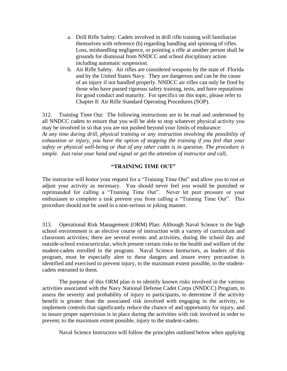- a. Drill Rifle Safety: Cadets involved in drill rifle training will familiarize themselves with reference (b) regarding handling and spinning of rifles. Loss, mishandling negligence, or pointing a rifle at another person shall be grounds for dismissal from NNDCC and school disciplinary action including automatic suspension.
- b. Air Rifle Safety. Air rifles are considered weapons by the state of Florida and by the United States Navy. They are dangerous and can be the cause of an injury if not handled properly. NNDCC air rifles can only be fired by those who have passed rigorous safety training, tests, and have reputations for good conduct and maturity. For specifics on this topic, please refer to Chapter 8: Air Rifle Standard Operating Procedures (SOP).

312. Training Time Out: The following instructions are to be read and understood by all NNDCC cadets to ensure that you will be able to stop whatever physical activity you may be involved in so that you are not pushed beyond your limits of endurance: *At any time during drill, physical training or any instruction involving the possibility of exhaustion or injury, you have the option of stopping the training if you feel that your safety or physical well-being or that of any other cadet is in question. The procedure is simple. Just raise your hand and signal or get the attention of instructor and call*,

#### **"TRAINING TIME OUT"**

The instructor will honor your request for a "Training Time Out" and allow you to rest or adjust your activity as necessary. You should never feel you would be punished or reprimanded for calling a "Training Time Out". Never let peer pressure or your enthusiasm to complete a task prevent you from calling a "Training Time Out". This procedure should not be used in a non-serious or joking manner.

313. Operational Risk Management (ORM) Plan: Although Naval Science in the high school environment is an elective course of instruction with a variety of curriculum and classroom activities; there are several events and activities, during the school day and outside-school extracurricular, which present certain risks to the health and welfare of the student-cadets enrolled in the program. Naval Science Instructors, as leaders of this program, must be especially alert to these dangers and insure every precaution is identified and exercised to prevent injury, to the maximum extent possible, to the studentcadets entrusted to them.

The purpose of this ORM plan is to identify known risks involved in the various activities associated with the Navy National Defense Cadet Corps (NNDCC) Program, to assess the severity and probability of injury to participants, to determine if the activity benefit is greater than the associated risk involved with engaging in the activity, to implement controls that significantly reduce the chance of and opportunity for injury, and to insure proper supervision is in place during the activities with risk involved in order to prevent, to the maximum extent possible, injury to the student-cadets.

Naval Science Instructors will follow the principles outlined below when applying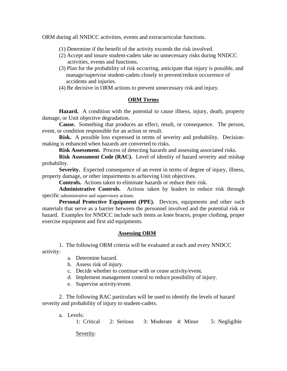ORM during all NNDCC activities, events and extracurricular functions.

- (1) Determine if the benefit of the activity exceeds the risk involved.
- (2) Accept and insure student-cadets take no unnecessary risks during NNDCC activities, events and functions.
- (3) Plan for the probability of risk occurring, anticipate that injury is possible, and manage/supervise student-cadets closely to prevent/reduce occurrence of accidents and injuries.
- (4) Be decisive in ORM actions to prevent unnecessary risk and injury.

#### **ORM Terms**

**Hazard.** A condition with the potential to cause illness, injury, death, property damage, or Unit objective degradation.

**Cause.** Something that produces an effect, result, or consequence. The person, event, or condition responsible for an action or result.

**Risk.** A possible loss expressed in terms of severity and probability. Decisionmaking is enhanced when hazards are converted to risks.

**Risk Assessment.** Process of detecting hazards and assessing associated risks.

**Risk Assessment Code (RAC).** Level of identity of hazard severity and mishap probability.

**Severity.** Expected consequence of an event in terms of degree of injury, illness, property damage, or other impairments to achieving Unit objectives.

**Controls.** Actions taken to eliminate hazards or reduce their risk.

**Administrative Controls.** Actions taken by leaders to reduce risk through specific administrative and supervisory actions.

**Personal Protective Equipment (PPE).** Devices, equipments and other such materials that serve as a barrier between the personnel involved and the potential risk or hazard. Examples for NNDCC include such items as knee braces, proper clothing, proper exercise equipment and first aid equipments.

#### **Assessing ORM**

1.The following ORM criteria will be evaluated at each and every NNDCC

activity:

- a. Determine hazard.
- b. Assess risk of injury.
- c. Decide whether to continue with or cease activity/event.
- d. Implement management control to reduce possibility of injury.
- e. Supervise activity/event.

2. The following RAC particulars will be used to identify the levels of hazard severity and probability of injury to student-cadets.

a. Levels:

1: Critical 2: Serious 3: Moderate 4: Minor 5: Negligible

Severity: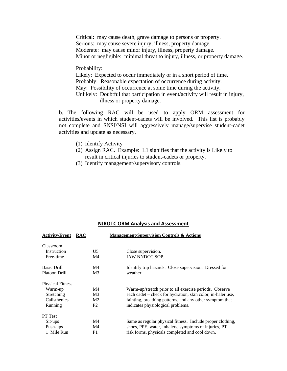Critical: may cause death, grave damage to persons or property. Serious: may cause severe injury, illness, property damage. Moderate: may cause minor injury, illness, property damage. Minor or negligible: minimal threat to injury, illness, or property damage.

#### Probability:

Likely: Expected to occur immediately or in a short period of time. Probably: Reasonable expectation of occurrence during activity. May: Possibility of occurrence at some time during the activity. Unlikely: Doubtful that participation in event/activity will result in injury, illness or property damage.

b. The following RAC will be used to apply ORM assessment for activities/events in which student-cadets will be involved. This list is probably not complete and SNSI/NSI will aggressively manage/supervise student-cadet activities and update as necessary.

- (1) Identify Activity
- (2) Assign RAC. Example: L1 signifies that the activity is Likely to result in critical injuries to student-cadets or property.
- (3) Identify management/supervisory controls.

#### **NJROTC ORM Analysis and Assessment**

| <b>Activity/Event</b>   | <b>RAC</b>     | <b>Management/Supervision Controls &amp; Actions</b>        |
|-------------------------|----------------|-------------------------------------------------------------|
| Classroom               |                |                                                             |
| Instruction             | U <sub>5</sub> | Close supervision.                                          |
| Free-time               | M <sub>4</sub> | <b>IAW NNDCC SOP.</b>                                       |
| <b>Basic Drill</b>      | M4             | Identify trip hazards. Close supervision. Dressed for       |
| Platoon Drill           | M <sub>3</sub> | weather.                                                    |
| <b>Physical Fitness</b> |                |                                                             |
| Warm-up                 | M <sub>4</sub> | Warm-up/stretch prior to all exercise periods. Observe      |
| Stretching              | M <sub>3</sub> | each cadet – check for hydration, skin color, in-haler use, |
| <b>Calisthenics</b>     | M <sub>2</sub> | fainting, breathing patterns, and any other symptom that    |
| Running                 | P <sub>2</sub> | indicates physiological problems.                           |
| <b>PT</b> Test          |                |                                                             |
| Sit-ups                 | M <sub>4</sub> | Same as regular physical fitness. Include proper clothing,  |
| Push-ups                | M <sub>4</sub> | shoes, PPE, water, inhalers, symptoms of injuries, PT       |
| 1 Mile Run              | P1             | risk forms, physicals completed and cool down.              |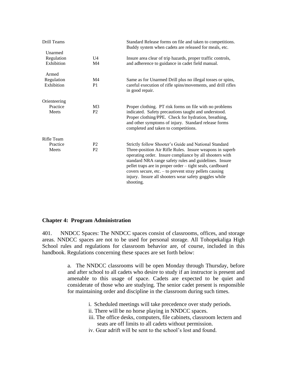|                                  | Standard Release forms on file and taken to competitions.<br>Buddy system when cadets are released for meals, etc.                                                                                                                                                                                                                                                                                                                    |
|----------------------------------|---------------------------------------------------------------------------------------------------------------------------------------------------------------------------------------------------------------------------------------------------------------------------------------------------------------------------------------------------------------------------------------------------------------------------------------|
| U <sub>4</sub><br>M4             | Insure area clear of trip hazards, proper traffic controls,<br>and adherence to guidance in cadet field manual.                                                                                                                                                                                                                                                                                                                       |
| M <sub>4</sub>                   | Same as for Unarmed Drill plus no illegal tosses or spins,                                                                                                                                                                                                                                                                                                                                                                            |
| P <sub>1</sub>                   | careful execution of rifle spins/movements, and drill rifles<br>in good repair.                                                                                                                                                                                                                                                                                                                                                       |
|                                  |                                                                                                                                                                                                                                                                                                                                                                                                                                       |
| M <sub>3</sub><br>P <sub>2</sub> | Proper clothing. PT risk forms on file with no problems<br>indicated. Safety precautions taught and understood.<br>Proper clothing/PPE. Check for hydration, breathing,<br>and other symptoms of injury. Standard release forms<br>completed and taken to competitions.                                                                                                                                                               |
|                                  |                                                                                                                                                                                                                                                                                                                                                                                                                                       |
| P <sub>2</sub><br>P <sub>2</sub> | Strictly follow Shooter's Guide and National Standard<br>Three-position Air Rifle Rules. Insure weapons in superb<br>operating order. Insure compliance by all shooters with<br>standard NRA range safety rules and guidelines. Insure<br>pellet traps are in proper order – tight seals, cardboard<br>covers secure, etc. $-$ to prevent stray pellets causing<br>injury. Insure all shooters wear safety goggles while<br>shooting. |
|                                  |                                                                                                                                                                                                                                                                                                                                                                                                                                       |

#### **Chapter 4: Program Administration**

401. NNDCC Spaces: The NNDCC spaces consist of classrooms, offices, and storage areas. NNDCC spaces are not to be used for personal storage. All Tohopekaliga High School rules and regulations for classroom behavior are, of course, included in this handbook. Regulations concerning these spaces are set forth below:

> a. The NNDCC classrooms will be open Monday through Thursday, before and after school to all cadets who desire to study if an instructor is present and amenable to this usage of space. Cadets are expected to be quiet and considerate of those who are studying. The senior cadet present is responsible for maintaining order and discipline in the classroom during such times.

- i. Scheduled meetings will take precedence over study periods.
- ii. There will be no horse playing in NNDCC spaces.
- iii. The office desks, computers, file cabinets, classroom lectern and seats are off limits to all cadets without permission.
- iv. Gear adrift will be sent to the school's lost and found.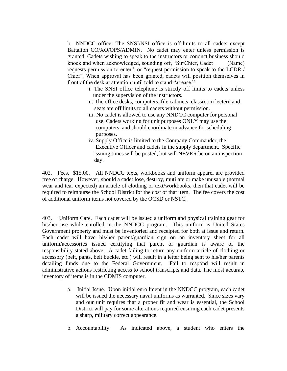b. NNDCC office: The SNSI/NSI office is off-limits to all cadets except Battalion CO/XO/OPS/ADMIN. No cadet may enter unless permission is granted. Cadets wishing to speak to the instructors or conduct business should knock and when acknowledged, sounding off, "Sir/Chief, Cadet \_\_\_\_ (Name) requests permission to enter", or "request permission to speak to the LCDR / Chief". When approval has been granted, cadets will position themselves in front of the desk at attention until told to stand "at ease."

- i. The SNSI office telephone is strictly off limits to cadets unless under the supervision of the instructors.
- ii. The office desks, computers, file cabinets, classroom lectern and seats are off limits to all cadets without permission.
- iii. No cadet is allowed to use any NNDCC computer for personal use. Cadets working for unit purposes ONLY may use the computers, and should coordinate in advance for scheduling purposes.
- iv. Supply Office is limited to the Company Commander, the Executive Officer and cadets in the supply department. Specific issuing times will be posted, but will NEVER be on an inspection day.

402. Fees. \$15.00. All NNDCC texts, workbooks and uniform apparel are provided free of charge. However, should a cadet lose, destroy, mutilate or make unusable (normal wear and tear expected) an article of clothing or text/workbooks, then that cadet will be required to reimburse the School District for the cost of that item. The fee covers the cost of additional uniform items not covered by the OCSD or NSTC.

403. Uniform Care. Each cadet will be issued a uniform and physical training gear for his/her use while enrolled in the NNDCC program. This uniform is United States Government property and must be inventoried and receipted for both at issue and return. Each cadet will have his/her parent/guardian sign on an inventory sheet for all uniform/accessories issued certifying that parent or guardian is aware of the responsibility stated above. A cadet failing to return any uniform article of clothing or accessory (belt, pants, belt buckle, etc.) will result in a letter being sent to his/her parents detailing funds due to the Federal Government. Fail to respond will result in administrative actions restricting access to school transcripts and data. The most accurate inventory of items is in the CDMIS computer.

- a. Initial Issue. Upon initial enrollment in the NNDCC program, each cadet will be issued the necessary naval uniforms as warranted. Since sizes vary and our unit requires that a proper fit and wear is essential, the School District will pay for some alterations required ensuring each cadet presents a sharp, military correct appearance.
- b. Accountability. As indicated above, a student who enters the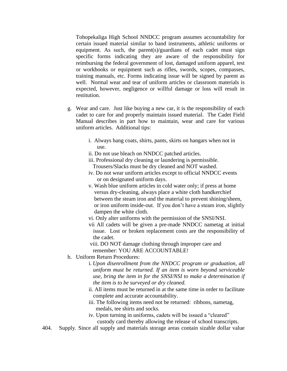Tohopekaliga High School NNDCC program assumes accountability for certain issued material similar to band instruments, athletic uniforms or equipment. As such, the parent(s)/guardians of each cadet must sign specific forms indicating they are aware of the responsibility for reimbursing the federal government of lost, damaged uniform apparel, test or workbooks or equipment such as rifles, swords, scopes, compasses, training manuals, etc. Forms indicating issue will be signed by parent as well. Normal wear and tear of uniform articles or classroom materials is expected, however, negligence or willful damage or loss will result in restitution.

- g. Wear and care. Just like buying a new car, it is the responsibility of each cadet to care for and properly maintain issued material. The Cadet Field Manual describes in part how to maintain, wear and care for various uniform articles. Additional tips:
	- i. Always hang coats, shirts, pants, skirts on hangars when not in use.
	- ii. Do not use bleach on NNDCC patched articles.
	- iii. Professional dry cleaning or laundering is permissible. Trousers/Slacks must be dry cleaned and NOT washed.
	- iv. Do not wear uniform articles except to official NNDCC events or on designated uniform days.
	- v. Wash blue uniform articles in cold water only; if press at home versus dry-cleaning, always place a white cloth handkerchief between the steam iron and the material to prevent shining/sheen, or iron uniform inside-out. If you don't have a steam iron, slightly dampen the white cloth.
	- vi. Only alter uniforms with the permission of the SNSI/NSI.
	- vii All cadets will be given a pre-made NNDCC nametag at initial issue. Lost or broken replacement costs are the responsibility of the cadet.
	- viii. DO NOT damage clothing through improper care and remember: YOU ARE ACCOUNTABLE!
- h. Uniform Return Procedures:
	- i*. Upon disenrollment from the NNDCC program or graduation, all uniform must be returned. If an item is worn beyond serviceable use, bring the item in for the SNSI/NSI to make a determination if the item is to be surveyed or dry cleaned.*
	- ii. All items must be returned in at the same time in order to facilitate complete and accurate accountability.
	- iii. The following items need not be returned: ribbons, nametag, medals, tee shirts and socks.
	- iv. Upon turning in uniforms, cadets will be issued a "cleared"
		- custody card thereby allowing the release of school transcripts.
- 404. Supply. Since all supply and materials storage areas contain sizable dollar value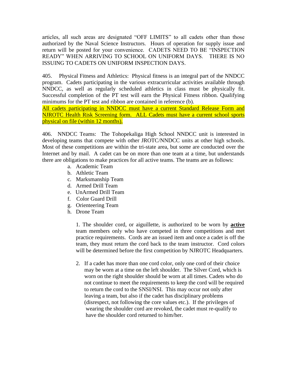articles, all such areas are designated "OFF LIMITS" to all cadets other than those authorized by the Naval Science Instructors. Hours of operation for supply issue and return will be posted for your convenience. CADETS NEED TO BE "INSPECTION READY" WHEN ARRIVING TO SCHOOL ON UNIFORM DAYS. THERE IS NO ISSUING TO CADETS ON UNIFORM INSPECTION DAYS.

405. Physical Fitness and Athletics: Physical fitness is an integral part of the NNDCC program. Cadets participating in the various extracurricular activities available through NNDCC, as well as regularly scheduled athletics in class must be physically fit. Successful completion of the PT test will earn the Physical Fitness ribbon. Qualifying minimums for the PT test and ribbon are contained in reference (b).

All cadets participating in NNDCC must have a current Standard Release Form and NJROTC Health Risk Screening form. ALL Cadets must have a current school sports physical on file (within 12 months).

406. NNDCC Teams: The Tohopekaliga High School NNDCC unit is interested in developing teams that compete with other JROTC/NNDCC units at other high schools. Most of these competitions are within the tri-state area, but some are conducted over the Internet and by mail. A cadet can be on more than one team at a time, but understands there are obligations to make practices for all active teams. The teams are as follows:

- a. Academic Team
- b. Athletic Team
- c. Marksmanship Team
- d. Armed Drill Team
- e. UnArmed Drill Team
- f. Color Guard Drill
- g. Orienteering Team
- h. Drone Team

1. The shoulder cord, or aiguillette, is authorized to be worn by **active** team members only who have competed in three competitions and met practice requirements. Cords are an issued item and once a cadet is off the team, they must return the cord back to the team instructor. Cord colors will be determined before the first competition by NJROTC Headquarters.

2. If a cadet has more than one cord color, only one cord of their choice may be worn at a time on the left shoulder. The Silver Cord, which is worn on the right shoulder should be worn at all times. Cadets who do not continue to meet the requirements to keep the cord will be required to return the cord to the SNSI/NSI. This may occur not only after leaving a team, but also if the cadet has disciplinary problems (disrespect, not following the core values etc.). If the privileges of wearing the shoulder cord are revoked, the cadet must re-qualify to have the shoulder cord returned to him/her.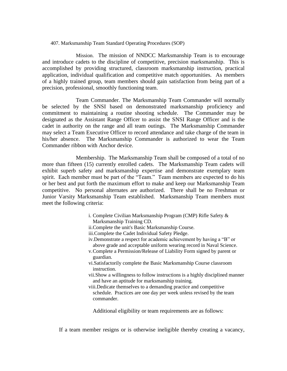407. Marksmanship Team Standard Operating Procedures (SOP)

Mission. The mission of NNDCC Marksmanship Team is to encourage and introduce cadets to the discipline of competitive, precision marksmanship. This is accomplished by providing structured, classroom marksmanship instruction, practical application, individual qualification and competitive match opportunities. As members of a highly trained group, team members should gain satisfaction from being part of a precision, professional, smoothly functioning team.

Team Commander. The Marksmanship Team Commander will normally be selected by the SNSI based on demonstrated marksmanship proficiency and commitment to maintaining a routine shooting schedule. The Commander may be designated as the Assistant Range Officer to assist the SNSI Range Officer and is the cadet in authority on the range and all team outings. The Marksmanship Commander may select a Team Executive Officer to record attendance and take charge of the team in his/her absence. The Marksmanship Commander is authorized to wear the Team Commander ribbon with Anchor device.

Membership. The Marksmanship Team shall be composed of a total of no more than fifteen (15) currently enrolled cadets. The Marksmanship Team cadets will exhibit superb safety and marksmanship expertise and demonstrate exemplary team spirit. Each member must be part of the "Team." Team members are expected to do his or her best and put forth the maximum effort to make and keep our Marksmanship Team competitive. No personal alternates are authorized. There shall be no Freshman or Junior Varsity Marksmanship Team established.Marksmanship Team members must meet the following criteria:

- i. Complete Civilian Marksmanship Program (CMP) Rifle Safety &
- Marksmanship Training CD.
- ii.Complete the unit's Basic Marksmanship Course.
- iii.Complete the Cadet Individual Safety Pledge.
- iv.Demonstrate a respect for academic achievement by having a "B" or above grade and acceptable uniform wearing record in Naval Science.
- v.Complete a Permission/Release of Liability Form signed by parent or guardian.
- vi.Satisfactorily complete the Basic Marksmanship Course classroom instruction.
- vii.Show a willingness to follow instructions is a highly disciplined manner and have an aptitude for marksmanship training.
- viii.Dedicate themselves to a demanding practice and competitive schedule. Practices are one day per week unless revised by the team commander.

Additional eligibility or team requirements are as follows:

If a team member resigns or is otherwise ineligible thereby creating a vacancy,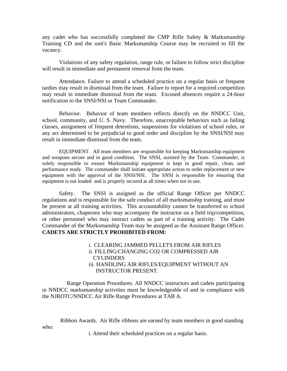any cadet who has successfully completed the CMP Rifle Safety & Marksmanship Training CD and the unit's Basic Marksmanship Course may be recruited to fill the vacancy.

Violations of any safety regulation, range rule, or failure to follow strict discipline will result in immediate and permanent removal from the team.

Attendance. Failure to attend a scheduled practice on a regular basis or frequent tardies may result in dismissal from the team. Failure to report for a required competition may result in immediate dismissal from the team. Excused absences require a 24-hour notification to the SNSI/NSI or Team Commander.

Behavior. Behavior of team members reflects directly on the NNDCC Unit, school, community, and U. S. Navy. Therefore, unacceptable behaviors such as failing classes, assignment of frequent detentions, suspensions for violations of school rules, or any act determined to be prejudicial to good order and discipline by the SNSI/NSI may result in immediate dismissal from the team.

EQUIPMENT. All team members are responsible for keeping Marksmanship equipment and weapons secure and in good condition. The SNSI, assisted by the Team Commander, is solely responsible to ensure Marksmanship equipment is kept in good repair, clean, and performance ready. The commander shall initiate appropriate action to order replacement or new equipment with the approval of the SNSI/NSI. The SNSI is responsible for ensuring that equipment is not loaded and is properly secured at all times when not in use.

Safety. The SNSI is assigned as the official Range Officer per NNDCC regulations and is responsible for the safe conduct of all marksmanship training, and must be present at all training activities. This accountability cannot be transferred to school administrators, chaperons who may accompany the instructor on a field trip/competition, or other personnel who may instruct cadets as part of a training activity. The Cadet Commander of the Marksmanship Team may be assigned as the Assistant Range Officer. **CADETS ARE STRICTLY PROHIBITED FROM:**

> i. CLEARING JAMMED PELLETS FROM AIR RIFLES ii. FILLING/CHANGING CO2 OR COMPRESSED AIR **CYLINDERS** iii*.* HANDLING AIR RIFLES/EQUIPMENT WITHOUT AN INSTRUCTOR PRESENT.

 Range Operation Procedures. All NNDCC instructors and cadets participating in NNDCC marksmanship activities must be knowledgeable of and in compliance with the NJROTC/NNDCC Air Rifle Range Procedures at TAB A.

Ribbon Awards. Air Rifle ribbons are earned by team members in good standing

who:

i. Attend their scheduled practices on a regular basis.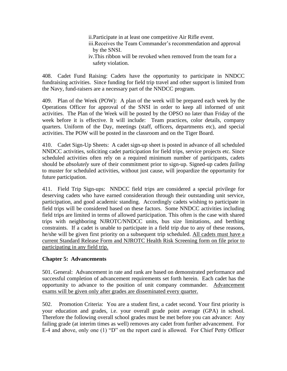ii.Participate in at least one competitive Air Rifle event. iii.Receives the Team Commander's recommendation and approval by the SNSI. iv.This ribbon will be revoked when removed from the team for a safety violation.

408. Cadet Fund Raising: Cadets have the opportunity to participate in NNDCC fundraising activities. Since funding for field trip travel and other support is limited from the Navy, fund-raisers are a necessary part of the NNDCC program.

409. Plan of the Week (POW): A plan of the week will be prepared each week by the Operations Officer for approval of the SNSI in order to keep all informed of unit activities. The Plan of the Week will be posted by the OPSO no later than Friday of the week before it is effective. It will include: Team practices, color details, company quarters. Uniform of the Day, meetings (staff, officers, departments etc), and special activities. The POW will be posted in the classroom and on the Tiger Board.

410. Cadet Sign-Up Sheets: A cadet sign-up sheet is posted in advance of all scheduled NNDCC activities, soliciting cadet participation for field trips, service projects etc. Since scheduled activities often rely on a required minimum number of participants, cadets should be *absolutely* sure of their commitment prior to sign-up. Signed-up cadets *failing* to muster for scheduled activities, without just cause, will jeopardize the opportunity for future participation.

411. Field Trip Sign-ups: NNDCC field trips are considered a special privilege for deserving cadets who have earned consideration through their outstanding unit service, participation, and good academic standing. Accordingly cadets wishing to participate in field trips will be considered based on these factors. Some NNDCC activities including field trips are limited in terms of allowed participation. This often is the case with shared trips with neighboring NJROTC/NNDCC units, bus size limitations, and berthing constraints. If a cadet is unable to participate in a field trip due to any of these reasons, he/she will be given first priority on a subsequent trip scheduled. All cadets must have a current Standard Release Form and NJROTC Health Risk Screening form on file prior to participating in any field trip.

#### **Chapter 5: Advancements**

501. General: Advancement in rate and rank are based on demonstrated performance and successful completion of advancement requirements set forth herein. Each cadet has the opportunity to advance to the position of unit company commander. Advancement exams will be given only after grades are disseminated every quarter.

502. Promotion Criteria: You are a student first, a cadet second. Your first priority is your education and grades, i.e. your overall grade point average (GPA) in school. Therefore the following overall school grades must be met before you can advance: Any failing grade (at interim times as well) removes any cadet from further advancement. For E-4 and above, only one (1) "D" on the report card is allowed. For Chief Petty Officer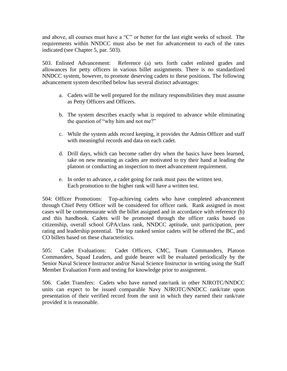and above, all courses must have a "C" or better for the last eight weeks of school. The requirements within NNDCC must also be met for advancement to each of the rates indicated (see Chapter 5, par. 503).

503. Enlisted Advancement: Reference (a) sets forth cadet enlisted grades and allowances for petty officers in various billet assignments. There is no standardized NNDCC system, however, to promote deserving cadets to these positions. The following advancement system described below has several distinct advantages:

- a. Cadets will be well prepared for the military responsibilities they must assume as Petty Officers and Officers.
- b. The system describes exactly what is required to advance while eliminating the question of "why him and not me?"
- c. While the system adds record keeping, it provides the Admin Officer and staff with meaningful records and data on each cadet.
- d. Drill days, which can become rather dry when the basics have been learned, take on new meaning as cadets are motivated to try their hand at leading the platoon or conducting an inspection to meet advancement requirement.
- e. In order to advance, a cadet going for rank must pass the written test. Each promotion to the higher rank will have a written test.

504: Officer Promotions: Top-achieving cadets who have completed advancement through Chief Petty Officer will be considered for officer rank. Rank assigned in most cases will be commensurate with the billet assigned and in accordance with reference (b) and this handbook. Cadets will be promoted through the officer ranks based on citizenship, overall school GPA/class rank, NNDCC aptitude, unit participation, peer rating and leadership potential. The top ranked senior cadets will be offered the BC, and CO billets based on these characteristics.

505: Cadet Evaluations: Cadet Officers, CMC, Team Commanders, Platoon Commanders, Squad Leaders, and guide bearer will be evaluated periodically by the Senior Naval Science Instructor and/or Naval Science Instructor in writing using the Staff Member Evaluation Form and testing for knowledge prior to assignment.

506. Cadet Transfers: Cadets who have earned rate/rank in other NJROTC/NNDCC units can expect to be issued comparable Navy NJROTC/NNDCC rank/rate upon presentation of their verified record from the unit in which they earned their rank/rate provided it is reasonable.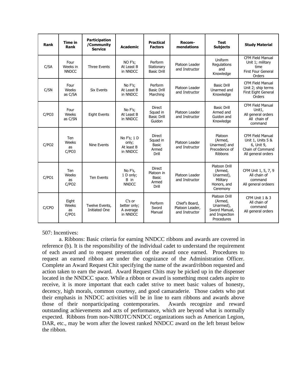| Rank  | <b>Time in</b><br>Rank           | <b>Participation</b><br>/Community<br><b>Service</b> | <b>Academic</b>                                 | <b>Practical</b><br><b>Factors</b>                          | Recom-<br>mendations                                | <b>Test</b><br><b>Subjects</b>                                                         | <b>Study Material</b>                                                                                |
|-------|----------------------------------|------------------------------------------------------|-------------------------------------------------|-------------------------------------------------------------|-----------------------------------------------------|----------------------------------------------------------------------------------------|------------------------------------------------------------------------------------------------------|
| C/SA  | Four<br>Weeks in<br><b>NNDCC</b> | <b>Three Events</b>                                  | NO F's;<br>At Least B<br>in NNDCC               | Perform<br>Stationary<br><b>Basic Drill</b>                 | Platoon Leader<br>and Instructor                    | Uniform<br>Regulations<br>and<br>Knowledge                                             | <b>CFM Field Manual</b><br>Unit 1; military<br>time<br><b>First Four General</b><br>Orders           |
| C/SN  | Four<br>Weeks<br>as C/SA         | <b>Six Events</b>                                    | No F's;<br>At Least B<br>in NNDCC               | Perform<br><b>Basic Drill</b><br>Marching                   | Platoon Leader<br>and Instructor                    | <b>Basic Drill</b><br>Unarmed and<br>Knowledge                                         | <b>CFM Field Manual</b><br>Unit 2; ship terms<br>First Eight General<br>Orders                       |
| C/PO3 | Four<br>Weeks<br>as C/SN         | <b>Eight Events</b>                                  | No F's;<br>At Least B<br>in NNDCC               | <b>Direct</b><br>Squad in<br><b>Basic Drill</b><br>Guidon   | Platoon Leader<br>and Instructor                    | <b>Basic Drill</b><br>Armed and<br>Guidon and<br>Knowledge                             | <b>CFM Field Manual</b><br>Unit1,<br>All general orders<br>All chain of<br>command                   |
| C/PO2 | Ten<br>Weeks<br>as<br>C/PO3      | <b>Nine Events</b>                                   | No F's: 1 D<br>only;<br>At least B<br>in NNDCC  | <b>Direct</b><br>Squad in<br><b>Basic</b><br>Armed<br>Drill | Platoon Leader<br>and Instructor                    | Platoon<br>(Armed,<br>Unarmed) and<br>Precedence of<br>Ribbons                         | <b>CFM Field Manual</b><br>Unit 1, Units 5 &<br>6, Unit 9,<br>Chain of Command<br>All general orders |
| C/PO1 | Ten<br>Weeks<br>as<br>C/PO2      | <b>Ten Events</b>                                    | No F's,<br>1 D only;<br>B in<br><b>NNDCC</b>    | <b>Direct</b><br>Platoon in<br>Basic<br>Armed<br>Drill      | Platoon Leader<br>and Instructor                    | Platoon Drill<br>(Armed,<br>Unarmed),<br>Military<br>Honors, and<br>Ceremony           | CFM Unit 1, 5, 7, 9<br>All chain of<br>command<br>All general ordeers                                |
| C/CPO | Eight<br>Weeks<br>as<br>C/PO1    | Twelve Events,<br><b>Initiated One</b>               | C's or<br>better only;<br>A average<br>in NNDCC | Perform<br>Sword<br>Manual                                  | Chief's Board,<br>Platoon Leader,<br>and Instructor | Platoon Drill<br>(Armed,<br>Unarmed),<br>Sword Manual,<br>and Inspection<br>Procedures | CFM Unit 1 & 3<br>All chain of<br>command<br>All general orders                                      |

507: Incentives:

a. Ribbons: Basic criteria for earning NNDCC ribbons and awards are covered in reference (b). It is the responsibility of the individual cadet to understand the requirement of each award and to request presentation of the award once earned. Procedures to request an earned ribbon are under the cognizance of the Administration Officer. Complete an Award Request Chit specifying the name of the award/ribbon requested and action taken to earn the award. Award Request Chits may be picked up in the dispenser located in the NNDCC space. While a ribbon or award is something most cadets aspire to receive, it is more important that each cadet strive to meet basic values of honesty, decency, high morals, common courtesy, and good camaraderie. Those cadets who put their emphasis in NNDCC activities will be in line to earn ribbons and awards above those of their nonparticipating contemporaries. Awards recognize and reward outstanding achievements and acts of performance, which are beyond what is normally expected. Ribbons from non-NJROTC/NNDCC organizations such as American Legion, DAR, etc., may be worn after the lowest ranked NNDCC award on the left breast below the ribbon.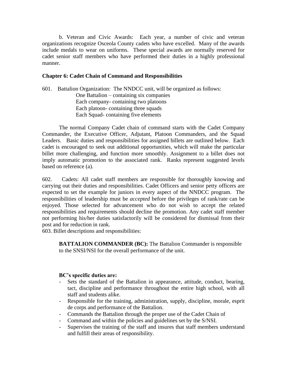b. Veteran and Civic Awards: Each year, a number of civic and veteran organizations recognize Osceola County cadets who have excelled. Many of the awards include medals to wear on uniforms. These special awards are normally reserved for cadet senior staff members who have performed their duties in a highly professional manner.

#### **Chapter 6: Cadet Chain of Command and Responsibilities**

601. Battalion Organization: The NNDCC unit, will be organized as follows: One Battalion – containing six companies Each company- containing two platoons Each platoon- containing three squads Each Squad- containing five elements

The normal Company Cadet chain of command starts with the Cadet Company Commander, the Executive Officer, Adjutant, Platoon Commanders, and the Squad Leaders. Basic duties and responsibilities for assigned billets are outlined below. Each cadet is encouraged to seek out additional opportunities, which will make the particular billet more challenging, and function more smoothly. Assignment to a billet does not imply automatic promotion to the associated rank. Ranks represent suggested levels based on reference (a).

602. Cadets: All cadet staff members are responsible for thoroughly knowing and carrying out their duties and responsibilities. Cadet Officers and senior petty officers are expected to set the example for juniors in every aspect of the NNDCC program. The responsibilities of leadership must be *accepted* before the privileges of rank/rate can be enjoyed. Those selected for advancement who do not wish to accept the related responsibilities and requirements should decline the promotion. Any cadet staff member not performing his/her duties satisfactorily will be considered for dismissal from their post and for reduction in rank.

603. Billet descriptions and responsibilities:

**BATTALION COMMANDER (BC):** The Battalion Commander is responsible to the SNSI/NSI for the overall performance of the unit.

#### **BC's specific duties are:**

- Sets the standard of the Battalion in appearance, attitude, conduct, bearing, tact, discipline and performance throughout the entire high school, with all staff and students alike.
- Responsible for the training, administration, supply, discipline, morale, esprit de corps and performance of the Battalion.
- Commands the Battalion through the proper use of the Cadet Chain of
- Command and within the policies and guidelines set by the S/NSI.
- Supervises the training of the staff and insures that staff members understand and fulfill their areas of responsibility.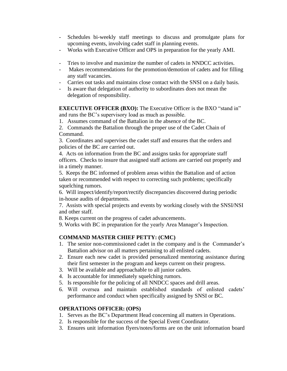- Schedules bi-weekly staff meetings to discuss and promulgate plans for upcoming events, involving cadet staff in planning events.
- Works with Executive Officer and OPS in preparation for the yearly AMI.
- Tries to involve and maximize the number of cadets in NNDCC activities.
- Makes recommendations for the promotion/demotion of cadets and for filling any staff vacancies.
- Carries out tasks and maintains close contact with the SNSI on a daily basis.
- Is aware that delegation of authority to subordinates does not mean the delegation of responsibility.

**EXECUTIVE OFFICER (BXO):** The Executive Officer is the BXO "stand in" and runs the BC's supervisory load as much as possible.

1. Assumes command of the Battalion in the absence of the BC.

2. Commands the Battalion through the proper use of the Cadet Chain of Command.

3. Coordinates and supervises the cadet staff and ensures that the orders and policies of the BC are carried out.

4. Acts on information from the BC and assigns tasks for appropriate staff officers. Checks to insure that assigned staff actions are carried out properly and in a timely manner.

5. Keeps the BC informed of problem areas within the Battalion and of action taken or recommended with respect to correcting such problems; specifically squelching rumors.

6. Will inspect/identify/report/rectify discrepancies discovered during periodic in-house audits of departments.

7. Assists with special projects and events by working closely with the SNSI/NSI and other staff.

8. Keeps current on the progress of cadet advancements.

9. Works with BC in preparation for the yearly Area Manager's Inspection.

#### **COMMAND MASTER CHIEF PETTY: (CMC)**

- 1. The senior non-commissioned cadet in the company and is the Commander's Battalion advisor on all matters pertaining to all enlisted cadets.
- 2. Ensure each new cadet is provided personalized mentoring assistance during their first semester in the program and keeps current on their progress.
- 3. Will be available and approachable to all junior cadets.
- 4. Is accountable for immediately squelching rumors.
- 5. Is responsible for the policing of all NNDCC spaces and drill areas.
- 6. Will oversea and maintain established standards of enlisted cadets' performance and conduct when specifically assigned by SNSI or BC.

#### **OPERATIONS OFFICER: (OPS)**

- 1. Serves as the BC's Department Head concerning all matters in Operations.
- 2. Is responsible for the success of the Special Event Coordinator.
- 3. Ensures unit information flyers/notes/forms are on the unit information board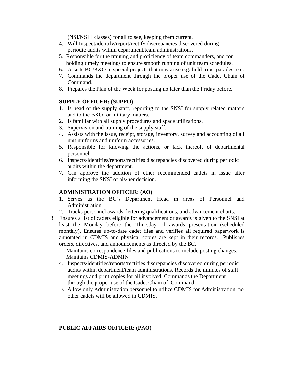(NSI/NSIII classes) for all to see, keeping them current.

- 4. Will Inspect/identify/report/rectify discrepancies discovered during periodic audits within department/team administrations.
- 5. Responsible for the training and proficiency of team commanders, and for holding timely meetings to ensure smooth running of unit team schedules.
- 6. Assists BC/BXO in special projects that may arise e.g. field trips, parades, etc.
- 7. Commands the department through the proper use of the Cadet Chain of Command.
- 8. Prepares the Plan of the Week for posting no later than the Friday before.

#### **SUPPLY OFFICER: (SUPPO)**

- 1. Is head of the supply staff, reporting to the SNSI for supply related matters and to the BXO for military matters.
- 2. Is familiar with all supply procedures and space utilizations.
- 3. Supervision and training of the supply staff.
- 4. Assists with the issue, receipt, storage, inventory, survey and accounting of all unit uniforms and uniform accessories.
- 5. Responsible for knowing the actions, or lack thereof, of departmental personnel.
- 6. Inspects/identifies/reports/rectifies discrepancies discovered during periodic audits within the department.
- 7. Can approve the addition of other recommended cadets in issue after informing the SNSI of his/her decision.

#### **ADMINISTRATION OFFICER: (AO)**

- 1. Serves as the BC's Department Head in areas of Personnel and Administration.
- 2. Tracks personnel awards, lettering qualifications, and advancement charts.
- 3. Ensures a list of cadets eligible for advancement or awards is given to the SNSI at least the Monday before the Thursday of awards presentation (scheduled monthly). Ensures up-to-date cadet files and verifies all required paperwork is annotated in CDMIS and physical copies are kept in their records. Publishes orders, directives, and announcements as directed by the BC.

 Maintains correspondence files and publications to include posting changes. Maintains CDMIS-ADMIN

- 4. Inspects/identifies/reports/rectifies discrepancies discovered during periodic audits within department/team administrations. Records the minutes of staff meetings and print copies for all involved. Commands the Department through the proper use of the Cadet Chain of Command.
- 5. Allow only Administration personnel to utilize CDMIS for Administration, no other cadets will be allowed in CDMIS.

#### **PUBLIC AFFAIRS OFFICER: (PAO)**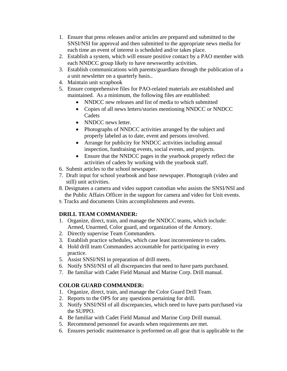- 1. Ensure that press releases and/or articles are prepared and submitted to the SNSI/NSI for approval and then submitted to the appropriate news media for each time an event of interest is scheduled and/or takes place.
- 2. Establish a system, which will ensure positive contact by a PAO member with each NNDCC group likely to have newsworthy activities.
- 3. Establish communications with parents/guardians through the publication of a a unit newsletter on a quarterly basis..
- 4. Maintain unit scrapbook
- 5. Ensure comprehensive files for PAO-related materials are established and maintained. As a minimum, the following files are established:
	- NNDCC new releases and list of media to which submitted
	- Copies of all news letters/stories mentioning NNDCC or NNDCC **Cadets**
	- NNDCC news letter.
	- Photographs of NNDCC activities arranged by the subject and properly labeled as to date, event and persons involved.
	- Arrange for publicity for NNDCC activities including annual inspection, fundraising events, social events, and projects.
	- Ensure that the NNDCC pages in the yearbook properly reflect the activities of cadets by working with the yearbook staff.
- 6. Submit articles to the school newspaper.
- 7. Draft input for school yearbook and base newspaper. Photograph (video and still) unit activities.
- 8. Designates a camera and video support custodian who assists the SNSI/NSI and the Public Affairs Officer in the support for camera and video for Unit events.
- 9. Tracks and documents Units accomplishments and events.

#### **DRILL TEAM COMMANDER:**

- 1. Organize, direct, train, and manage the NNDCC teams, which include: Armed, Unarmed, Color guard, and organization of the Armory.
- 2. Directly supervise Team Commanders.
- 3. Establish practice schedules, which case least inconvenience to cadets.
- 4. Hold drill team Commanders accountable for participating in every practice.
- 5. Assist SNSI/NSI in preparation of drill meets.
- 6. Notify SNSI/NSI of all discrepancies that need to have parts purchased.
- 7. Be familiar with Cadet Field Manual and Marine Corp. Drill manual.

#### **COLOR GUARD COMMANDER:**

- 1. Organize, direct, train, and manage the Color Guard Drill Team.
- 2. Reports to the OPS for any questions pertaining for drill.
- 3. Notify SNSI/NSI of all discrepancies, which need to have parts purchased via the SUPPO.
- 4. Be familiar with Cadet Field Manual and Marine Corp Drill manual.
- 5. Recommend personnel for awards when requirements are met.
- 6. Ensures periodic maintenance is preformed on all gear that is applicable to the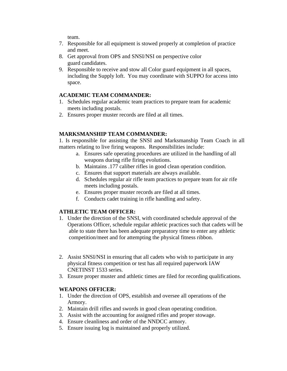team.

- 7. Responsible for all equipment is stowed properly at completion of practice and meet.
- 8. Get approval from OPS and SNSI/NSI on perspective color guard candidates.
- 9. Responsible to receive and stow all Color guard equipment in all spaces, including the Supply loft. You may coordinate with SUPPO for access into space.

#### **ACADEMIC TEAM COMMANDER:**

- 1. Schedules regular academic team practices to prepare team for academic meets including postals.
- 2. Ensures proper muster records are filed at all times.

#### **MARKSMANSHIP TEAM COMMANDER:**

1. Is responsible for assisting the SNSI and Marksmanship Team Coach in all matters relating to live firing weapons. Responsibilities include:

- a. Ensures safe operating procedures are utilized in the handling of all weapons during rifle firing evolutions.
- b. Maintains .177 caliber rifles in good clean operation condition.
- c. Ensures that support materials are always available.
- d. Schedules regular air rifle team practices to prepare team for air rife meets including postals.
- e. Ensures proper muster records are filed at all times.
- f. Conducts cadet training in rifle handling and safety.

#### **ATHLETIC TEAM OFFICER:**

- 1. Under the direction of the SNSI, with coordinated schedule approval of the Operations Officer, schedule regular athletic practices such that cadets will be able to state there has been adequate preparatory time to enter any athletic competition/meet and for attempting the physical fitness ribbon.
- 2. Assist SNSI/NSI in ensuring that all cadets who wish to participate in any physical fitness competition or test has all required paperwork IAW CNETINST 1533 series.
- 3. Ensure proper muster and athletic times are filed for recording qualifications.

#### **WEAPONS OFFICER:**

- 1. Under the direction of OPS, establish and oversee all operations of the Armory.
- 2. Maintain drill rifles and swords in good clean operating condition.
- 3. Assist with the accounting for assigned rifles and proper stowage.
- 4. Ensure cleanliness and order of the NNDCC armory.
- 5. Ensure issuing log is maintained and properly utilized.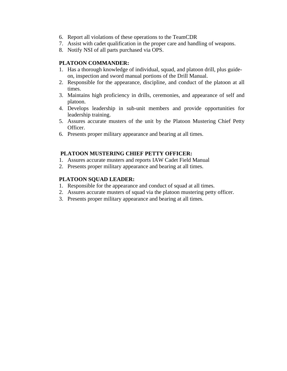- 6. Report all violations of these operations to the TeamCDR
- 7. Assist with cadet qualification in the proper care and handling of weapons.
- 8. Notify NSI of all parts purchased via OPS.

#### **PLATOON COMMANDER:**

- 1. Has a thorough knowledge of individual, squad, and platoon drill, plus guide on, inspection and sword manual portions of the Drill Manual.
- 2. Responsible for the appearance, discipline, and conduct of the platoon at all times.
- 3. Maintains high proficiency in drills, ceremonies, and appearance of self and platoon.
- 4. Develops leadership in sub-unit members and provide opportunities for leadership training.
- 5. Assures accurate musters of the unit by the Platoon Mustering Chief Petty Officer.
- 6. Presents proper military appearance and bearing at all times.

#### **PLATOON MUSTERING CHIEF PETTY OFFICER:**

- 1. Assures accurate musters and reports IAW Cadet Field Manual
- 2. Presents proper military appearance and bearing at all times.

#### **PLATOON SQUAD LEADER:**

- 1. Responsible for the appearance and conduct of squad at all times.
- 2. Assures accurate musters of squad via the platoon mustering petty officer.
- 3. Presents proper military appearance and bearing at all times.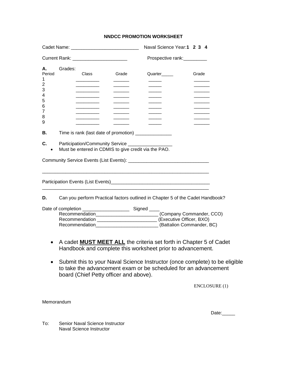#### **NNDCC PROMOTION WORKSHEET**

|                                                                                                                                                                                          |                                                                                                                                         |                             |                                                       | Naval Science Year: 1 2 3 4                                                                                                                                                                                        |               |
|------------------------------------------------------------------------------------------------------------------------------------------------------------------------------------------|-----------------------------------------------------------------------------------------------------------------------------------------|-----------------------------|-------------------------------------------------------|--------------------------------------------------------------------------------------------------------------------------------------------------------------------------------------------------------------------|---------------|
|                                                                                                                                                                                          |                                                                                                                                         | Prospective rank:__________ |                                                       |                                                                                                                                                                                                                    |               |
| А.<br>Period<br>1<br>2<br>3<br>4<br>5<br>6<br>7<br>8<br>9                                                                                                                                | Grades:                                                                                                                                 | Class                       | Grade                                                 | Quarter                                                                                                                                                                                                            | Grade         |
| В.                                                                                                                                                                                       |                                                                                                                                         |                             | Time is rank (last date of promotion) _______________ |                                                                                                                                                                                                                    |               |
| C.<br>$\bullet$                                                                                                                                                                          | Participation/Community Service ____________________<br>Must be entered in CDMIS to give credit via the PAO.                            |                             |                                                       |                                                                                                                                                                                                                    |               |
|                                                                                                                                                                                          |                                                                                                                                         |                             |                                                       |                                                                                                                                                                                                                    |               |
|                                                                                                                                                                                          |                                                                                                                                         |                             |                                                       |                                                                                                                                                                                                                    |               |
| D.                                                                                                                                                                                       |                                                                                                                                         |                             |                                                       | Can you perform Practical factors outlined in Chapter 5 of the Cadet Handbook?                                                                                                                                     |               |
|                                                                                                                                                                                          |                                                                                                                                         |                             |                                                       | Recommendation_____________________________(Company Commander, CCO)<br>Recommendation _____________________________ (Executive Officer, BXO)<br>Recommendation___________________________(Battalion Commander, BC) |               |
|                                                                                                                                                                                          | A cadet <b>MUST MEET ALL</b> the criteria set forth in Chapter 5 of Cadet<br>Handbook and complete this worksheet prior to advancement. |                             |                                                       |                                                                                                                                                                                                                    |               |
| Submit this to your Naval Science Instructor (once complete) to be eligible<br>to take the advancement exam or be scheduled for an advancement<br>board (Chief Petty officer and above). |                                                                                                                                         |                             |                                                       |                                                                                                                                                                                                                    |               |
|                                                                                                                                                                                          |                                                                                                                                         |                             |                                                       |                                                                                                                                                                                                                    | ENCLOSURE (1) |
| Memorandum                                                                                                                                                                               |                                                                                                                                         |                             |                                                       |                                                                                                                                                                                                                    |               |

Date:\_\_\_\_\_\_

To: Senior Naval Science Instructor Naval Science Instructor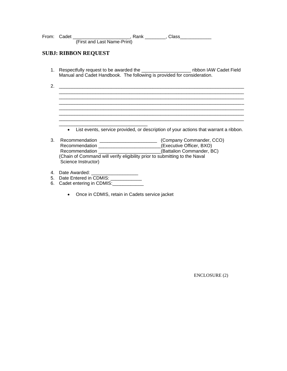|    | <b>SUBJ: RIBBON REQUEST</b>                                                                                                                                                                                                                |
|----|--------------------------------------------------------------------------------------------------------------------------------------------------------------------------------------------------------------------------------------------|
|    | 1. Respectfully request to be awarded the ___________________________ ribbon IAW Cadet Field<br>Manual and Cadet Handbook. The following is provided for consideration.                                                                    |
| 2. |                                                                                                                                                                                                                                            |
|    |                                                                                                                                                                                                                                            |
|    |                                                                                                                                                                                                                                            |
|    |                                                                                                                                                                                                                                            |
|    | List events, service provided, or description of your actions that warrant a ribbon.<br>$\bullet$                                                                                                                                          |
| 3. | Recommendation __________________________(Executive Officer, BXO)<br>Recommendation ________________________(Battalion Commander, BC)<br>(Chain of Command will verify eligibility prior to submitting to the Naval<br>Science Instructor) |
| 6. | 5. Date Entered in CDMIS: ____________<br>Cadet entering in CDMIS: Cadet entering in CDMIS:                                                                                                                                                |

• Once in CDMIS, retain in Cadets service jacket

ENCLOSURE (2)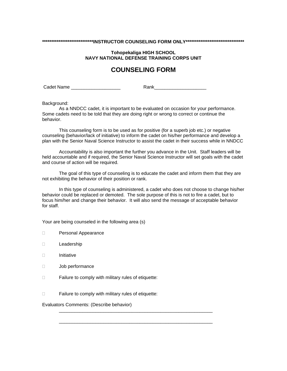#### **\*\*\*\*\*\*\*\*\*\*\*\*\*\*\*\*\*\*\*\*\*\*\*\*\*\*\*\*INSTRUCTOR COUNSELING FORM ONLY\*\*\*\*\*\*\*\*\*\*\*\*\*\*\*\*\*\*\*\*\*\*\*\*\*\*\*\*\*\*\*\***

#### **Tohopekaliga HIGH SCHOOL NAVY NATIONAL DEFENSE TRAINING CORPS UNIT**

#### **COUNSELING FORM**

Cadet Name \_\_\_\_\_\_\_\_\_\_\_\_\_\_\_\_\_\_\_ Rank\_\_\_\_\_\_\_\_\_\_\_\_\_\_\_\_\_\_\_\_

Background:

As a NNDCC cadet, it is important to be evaluated on occasion for your performance. Some cadets need to be told that they are doing right or wrong to correct or continue the behavior.

This counseling form is to be used as for positive (for a superb job etc.) or negative counseling (behavior/lack of initiative) to inform the cadet on his/her performance and develop a plan with the Senior Naval Science Instructor to assist the cadet in their success while in NNDCC

Accountability is also important the further you advance in the Unit. Staff leaders will be held accountable and if required, the Senior Naval Science Instructor will set goals with the cadet and course of action will be required.

The goal of this type of counseling is to educate the cadet and inform them that they are not exhibiting the behavior of their position or rank.

In this type of counseling is administered, a cadet who does not choose to change his/her behavior could be replaced or demoted. The sole purpose of this is not to fire a cadet, but to focus him/her and change their behavior. It will also send the message of acceptable behavior for staff.

\_\_\_\_\_\_\_\_\_\_\_\_\_\_\_\_\_\_\_\_\_\_\_\_\_\_\_\_\_\_\_\_\_\_\_\_\_\_\_\_\_\_\_\_\_\_\_\_\_\_\_\_\_\_\_\_\_\_\_

\_\_\_\_\_\_\_\_\_\_\_\_\_\_\_\_\_\_\_\_\_\_\_\_\_\_\_\_\_\_\_\_\_\_\_\_\_\_\_\_\_\_\_\_\_\_\_\_\_\_\_\_\_\_\_\_\_\_\_

Your are being counseled in the following area (s)

- D Personal Appearance
- D**Leadership**
- Initiative
- Job performance
- $\Box$  Failure to comply with military rules of etiquette:
- □ Failure to comply with military rules of etiquette:

Evaluators Comments: (Describe behavior)